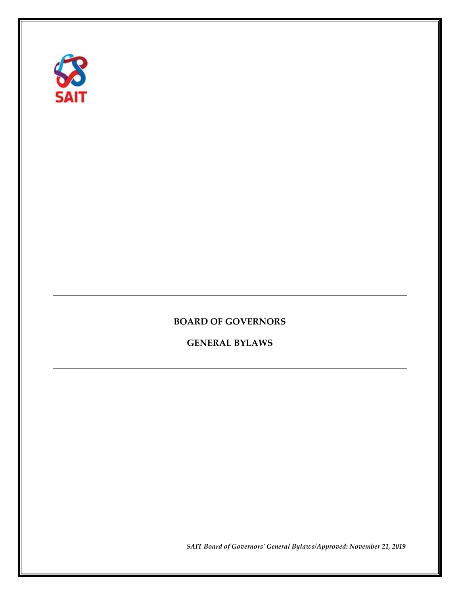

# **BOARD OF GOVERNORS**

**GENERAL BYLAWS**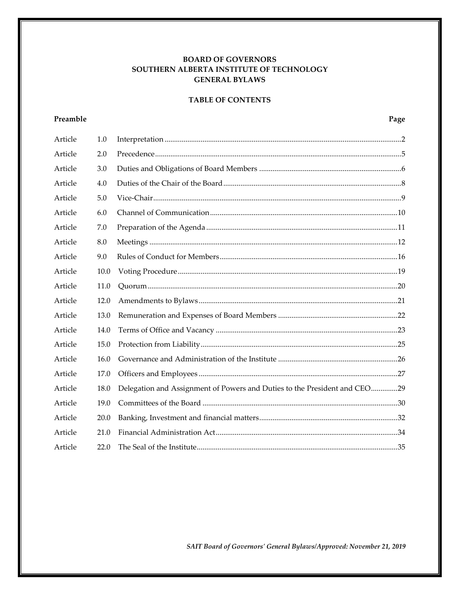### **BOARD OF GOVERNORS** SOUTHERN ALBERTA INSTITUTE OF TECHNOLOGY **GENERAL BYLAWS**

### **TABLE OF CONTENTS**

## Preamble

| Article | 1.0  |                                                                           |  |
|---------|------|---------------------------------------------------------------------------|--|
| Article | 2.0  |                                                                           |  |
| Article | 3.0  |                                                                           |  |
| Article | 4.0  |                                                                           |  |
| Article | 5.0  |                                                                           |  |
| Article | 6.0  |                                                                           |  |
| Article | 7.0  |                                                                           |  |
| Article | 8.0  |                                                                           |  |
| Article | 9.0  |                                                                           |  |
| Article | 10.0 |                                                                           |  |
| Article | 11.0 |                                                                           |  |
| Article | 12.0 |                                                                           |  |
| Article | 13.0 |                                                                           |  |
| Article | 14.0 |                                                                           |  |
| Article | 15.0 |                                                                           |  |
| Article | 16.0 |                                                                           |  |
| Article | 17.0 |                                                                           |  |
| Article | 18.0 | Delegation and Assignment of Powers and Duties to the President and CEO29 |  |
| Article | 19.0 |                                                                           |  |
| Article | 20.0 |                                                                           |  |
| Article | 21.0 |                                                                           |  |
| Article | 22.0 |                                                                           |  |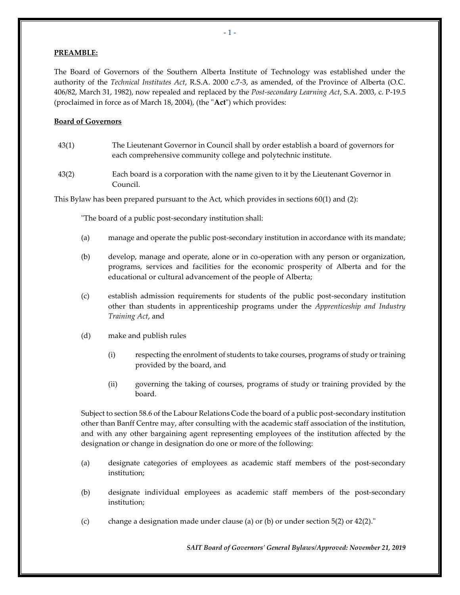#### **PREAMBLE:**

The Board of Governors of the Southern Alberta Institute of Technology was established under the authority of the *Technical Institutes Act*, R.S.A. 2000 c.7-3, as amended, of the Province of Alberta (O.C. 406/82, March 31, 1982), now repealed and replaced by the *Post-secondary Learning Act*, S.A. 2003, c. P-19.5 (proclaimed in force as of March 18, 2004), (the "**Act**") which provides:

#### **Board of Governors**

- 43(1) The Lieutenant Governor in Council shall by order establish a board of governors for each comprehensive community college and polytechnic institute.
- 43(2) Each board is a corporation with the name given to it by the Lieutenant Governor in Council.

This Bylaw has been prepared pursuant to the Act, which provides in sections 60(1) and (2):

"The board of a public post-secondary institution shall:

- (a) manage and operate the public post-secondary institution in accordance with its mandate;
- (b) develop, manage and operate, alone or in co-operation with any person or organization, programs, services and facilities for the economic prosperity of Alberta and for the educational or cultural advancement of the people of Alberta;
- (c) establish admission requirements for students of the public post-secondary institution other than students in apprenticeship programs under the *Apprenticeship and Industry Training Act*, and
- (d) make and publish rules
	- (i) respecting the enrolment of students to take courses, programs of study or training provided by the board, and
	- (ii) governing the taking of courses, programs of study or training provided by the board.

Subject to section 58.6 of the Labour Relations Code the board of a public post-secondary institution other than Banff Centre may, after consulting with the academic staff association of the institution, and with any other bargaining agent representing employees of the institution affected by the designation or change in designation do one or more of the following:

- (a) designate categories of employees as academic staff members of the post-secondary institution;
- (b) designate individual employees as academic staff members of the post-secondary institution;
- (c) change a designation made under clause (a) or (b) or under section 5(2) or 42(2)."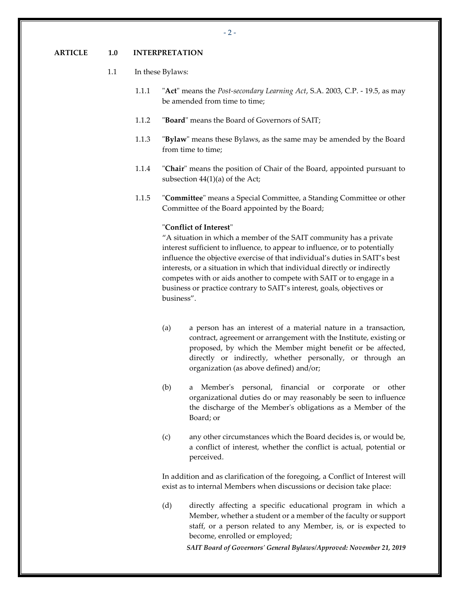#### <span id="page-3-0"></span>**ARTICLE 1.0 INTERPRETATION**

#### 1.1 In these Bylaws:

- 1.1.1 "**Act**" means the *Post-secondary Learning Act*, S.A. 2003, C.P. 19.5, as may be amended from time to time;
- 1.1.2 "**Board**" means the Board of Governors of SAIT;
- 1.1.3 "**Bylaw**" means these Bylaws, as the same may be amended by the Board from time to time;
- 1.1.4 "**Chair**" means the position of Chair of the Board, appointed pursuant to subsection 44(1)(a) of the Act;
- 1.1.5 "**Committee**" means a Special Committee, a Standing Committee or other Committee of the Board appointed by the Board;

### "**Conflict of Interest**"

"A situation in which a member of the SAIT community has a private interest sufficient to influence, to appear to influence, or to potentially influence the objective exercise of that individual's duties in SAIT's best interests, or a situation in which that individual directly or indirectly competes with or aids another to compete with SAIT or to engage in a business or practice contrary to SAIT's interest, goals, objectives or business".

- (a) a person has an interest of a material nature in a transaction, contract, agreement or arrangement with the Institute, existing or proposed, by which the Member might benefit or be affected, directly or indirectly, whether personally, or through an organization (as above defined) and/or;
- (b) a Member's personal, financial or corporate or other organizational duties do or may reasonably be seen to influence the discharge of the Member's obligations as a Member of the Board; or
- (c) any other circumstances which the Board decides is, or would be, a conflict of interest, whether the conflict is actual, potential or perceived.

In addition and as clarification of the foregoing, a Conflict of Interest will exist as to internal Members when discussions or decision take place:

(d) directly affecting a specific educational program in which a Member, whether a student or a member of the faculty or support staff, or a person related to any Member, is, or is expected to become, enrolled or employed;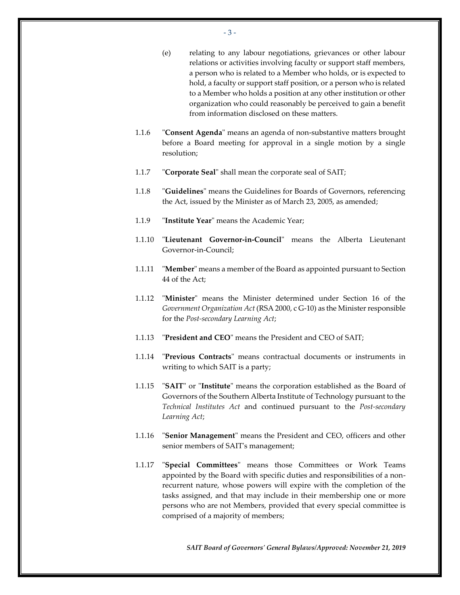- 3 -

- (e) relating to any labour negotiations, grievances or other labour relations or activities involving faculty or support staff members, a person who is related to a Member who holds, or is expected to hold, a faculty or support staff position, or a person who is related to a Member who holds a position at any other institution or other organization who could reasonably be perceived to gain a benefit from information disclosed on these matters.
- 1.1.6 "**Consent Agenda**" means an agenda of non-substantive matters brought before a Board meeting for approval in a single motion by a single resolution;
- 1.1.7 "**Corporate Seal**" shall mean the corporate seal of SAIT;
- 1.1.8 "**Guidelines**" means the Guidelines for Boards of Governors, referencing the Act, issued by the Minister as of March 23, 2005, as amended;
- 1.1.9 "**Institute Year**" means the Academic Year;
- 1.1.10 "**Lieutenant Governor-in-Council**" means the Alberta Lieutenant Governor-in-Council;
- 1.1.11 "**Member**" means a member of the Board as appointed pursuant to Section 44 of the Act;
- 1.1.12 "**Minister**" means the Minister determined under Section 16 of the *Government Organization Act* (RSA 2000, c G-10) as the Minister responsible for the *Post-secondary Learning Act*;
- 1.1.13 "**President and CEO**" means the President and CEO of SAIT;
- 1.1.14 "**Previous Contracts**" means contractual documents or instruments in writing to which SAIT is a party;
- 1.1.15 "**SAIT**" or "**Institute**" means the corporation established as the Board of Governors of the Southern Alberta Institute of Technology pursuant to the *Technical Institutes Act* and continued pursuant to the *Post-secondary Learning Act*;
- 1.1.16 "**Senior Management**" means the President and CEO, officers and other senior members of SAIT's management;
- 1.1.17 "**Special Committees**" means those Committees or Work Teams appointed by the Board with specific duties and responsibilities of a nonrecurrent nature, whose powers will expire with the completion of the tasks assigned, and that may include in their membership one or more persons who are not Members, provided that every special committee is comprised of a majority of members;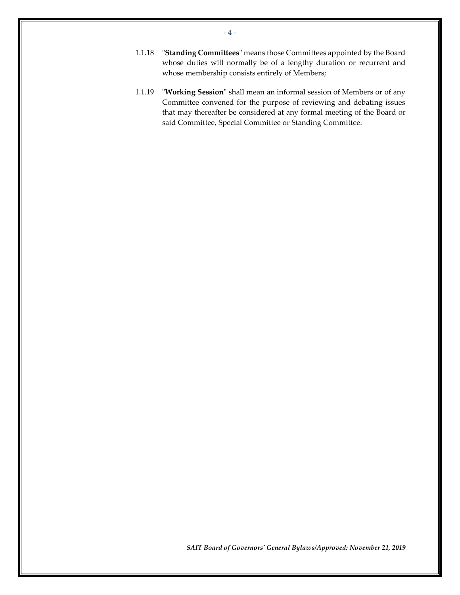- 1.1.18 "**Standing Committees**" means those Committees appointed by the Board whose duties will normally be of a lengthy duration or recurrent and whose membership consists entirely of Members;
- 1.1.19 "**Working Session**" shall mean an informal session of Members or of any Committee convened for the purpose of reviewing and debating issues that may thereafter be considered at any formal meeting of the Board or said Committee, Special Committee or Standing Committee.

- 4 -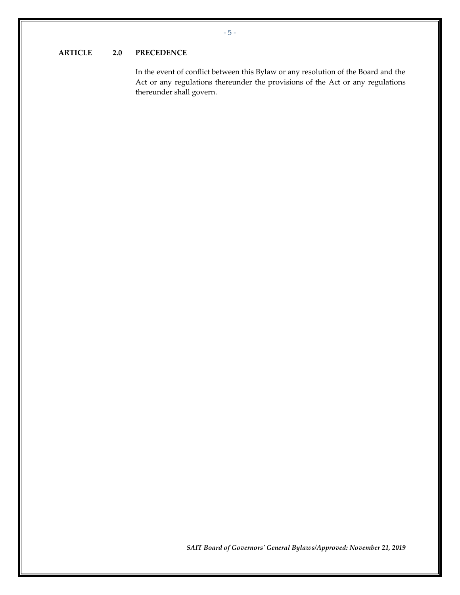### <span id="page-6-0"></span>**ARTICLE 2.0 PRECEDENCE**

In the event of conflict between this Bylaw or any resolution of the Board and the Act or any regulations thereunder the provisions of the Act or any regulations thereunder shall govern.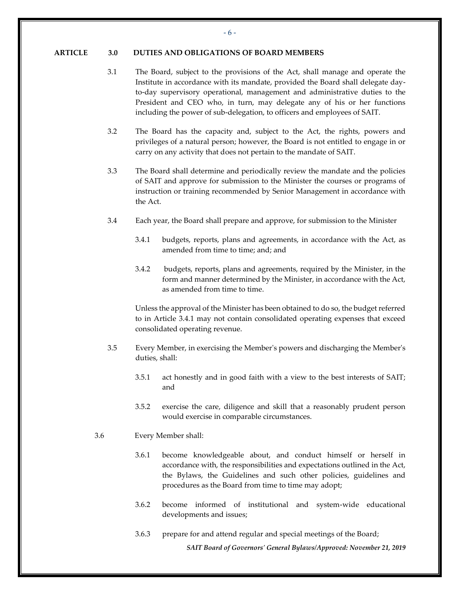#### <span id="page-7-0"></span>**ARTICLE 3.0 DUTIES AND OBLIGATIONS OF BOARD MEMBERS**

- 3.1 The Board, subject to the provisions of the Act, shall manage and operate the Institute in accordance with its mandate, provided the Board shall delegate dayto-day supervisory operational, management and administrative duties to the President and CEO who, in turn, may delegate any of his or her functions including the power of sub-delegation, to officers and employees of SAIT.
- 3.2 The Board has the capacity and, subject to the Act, the rights, powers and privileges of a natural person; however, the Board is not entitled to engage in or carry on any activity that does not pertain to the mandate of SAIT.
- 3.3 The Board shall determine and periodically review the mandate and the policies of SAIT and approve for submission to the Minister the courses or programs of instruction or training recommended by Senior Management in accordance with the Act.
- <span id="page-7-1"></span>3.4 Each year, the Board shall prepare and approve, for submission to the Minister
	- 3.4.1 budgets, reports, plans and agreements, in accordance with the Act, as amended from time to time; and; and
	- 3.4.2 budgets, reports, plans and agreements, required by the Minister, in the form and manner determined by the Minister, in accordance with the Act, as amended from time to time.

Unless the approval of the Minister has been obtained to do so, the budget referred to in Article [3.4.1](#page-7-1) may not contain consolidated operating expenses that exceed consolidated operating revenue.

- <span id="page-7-2"></span>3.5 Every Member, in exercising the Member's powers and discharging the Member's duties, shall:
	- 3.5.1 act honestly and in good faith with a view to the best interests of SAIT; and
	- 3.5.2 exercise the care, diligence and skill that a reasonably prudent person would exercise in comparable circumstances.
- 3.6 Every Member shall:
	- 3.6.1 become knowledgeable about, and conduct himself or herself in accordance with, the responsibilities and expectations outlined in the Act, the Bylaws, the Guidelines and such other policies, guidelines and procedures as the Board from time to time may adopt;
	- 3.6.2 become informed of institutional and system-wide educational developments and issues;
	- 3.6.3 prepare for and attend regular and special meetings of the Board;

*SAIT Board of Governors' General Bylaws/Approved: November 21, 2019*

- 6 -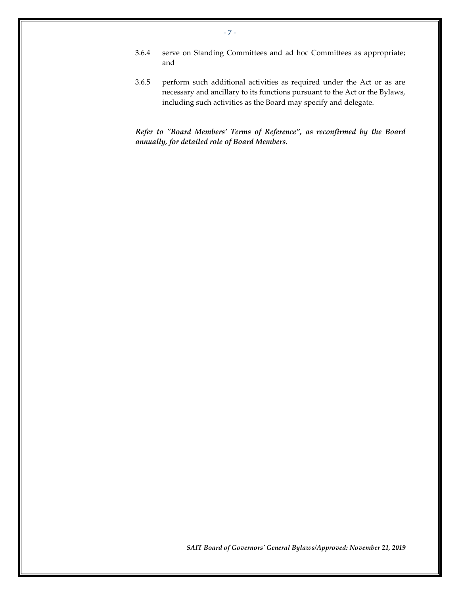- 3.6.4 serve on Standing Committees and ad hoc Committees as appropriate; and
- 3.6.5 perform such additional activities as required under the Act or as are necessary and ancillary to its functions pursuant to the Act or the Bylaws, including such activities as the Board may specify and delegate.

*Refer to "Board Members' Terms of Reference", as reconfirmed by the Board annually, for detailed role of Board Members.*

*SAIT Board of Governors' General Bylaws/Approved: November 21, 2019*

- 7 -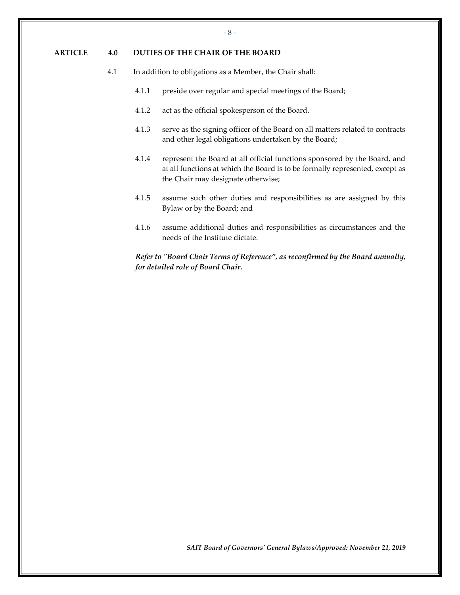### <span id="page-9-0"></span>**ARTICLE 4.0 DUTIES OF THE CHAIR OF THE BOARD**

- 4.1 In addition to obligations as a Member, the Chair shall:
	- 4.1.1 preside over regular and special meetings of the Board;
	- 4.1.2 act as the official spokesperson of the Board.
	- 4.1.3 serve as the signing officer of the Board on all matters related to contracts and other legal obligations undertaken by the Board;
	- 4.1.4 represent the Board at all official functions sponsored by the Board, and at all functions at which the Board is to be formally represented, except as the Chair may designate otherwise;
	- 4.1.5 assume such other duties and responsibilities as are assigned by this Bylaw or by the Board; and
	- 4.1.6 assume additional duties and responsibilities as circumstances and the needs of the Institute dictate.

*Refer to "Board Chair Terms of Reference", as reconfirmed by the Board annually, for detailed role of Board Chair.*

*SAIT Board of Governors' General Bylaws/Approved: November 21, 2019*

- 8 -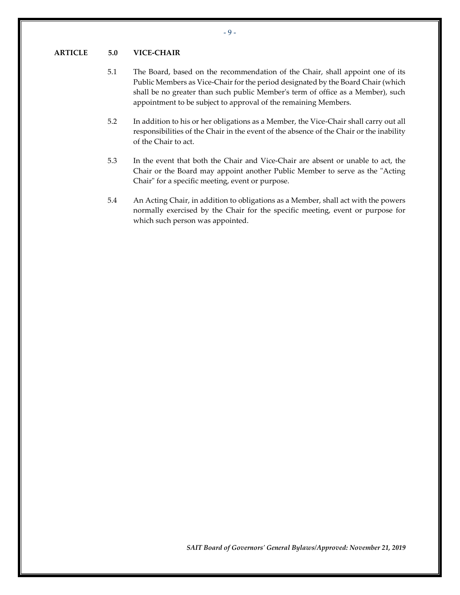#### <span id="page-10-0"></span>**ARTICLE 5.0 VICE-CHAIR**

- 5.1 The Board, based on the recommendation of the Chair, shall appoint one of its Public Members as Vice-Chair for the period designated by the Board Chair (which shall be no greater than such public Member's term of office as a Member), such appointment to be subject to approval of the remaining Members.
- 5.2 In addition to his or her obligations as a Member, the Vice-Chair shall carry out all responsibilities of the Chair in the event of the absence of the Chair or the inability of the Chair to act.
- <span id="page-10-1"></span>5.3 In the event that both the Chair and Vice-Chair are absent or unable to act, the Chair or the Board may appoint another Public Member to serve as the "Acting Chair" for a specific meeting, event or purpose.
- 5.4 An Acting Chair, in addition to obligations as a Member, shall act with the powers normally exercised by the Chair for the specific meeting, event or purpose for which such person was appointed.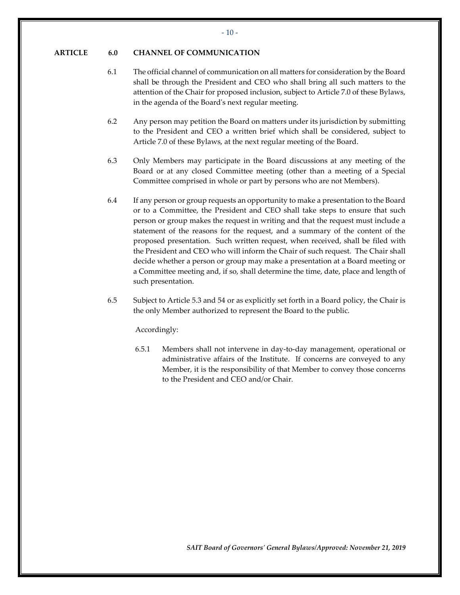#### <span id="page-11-0"></span>**ARTICLE 6.0 CHANNEL OF COMMUNICATION**

- 6.1 The official channel of communication on all matters for consideration by the Board shall be through the President and CEO who shall bring all such matters to the attention of the Chair for proposed inclusion, subject to Article 7.0 of these Bylaws, in the agenda of the Board's next regular meeting.
- 6.2 Any person may petition the Board on matters under its jurisdiction by submitting to the President and CEO a written brief which shall be considered, subject to Article 7.0 of these Bylaws, at the next regular meeting of the Board.
- 6.3 Only Members may participate in the Board discussions at any meeting of the Board or at any closed Committee meeting (other than a meeting of a Special Committee comprised in whole or part by persons who are not Members).
- <span id="page-11-1"></span>6.4 If any person or group requests an opportunity to make a presentation to the Board or to a Committee, the President and CEO shall take steps to ensure that such person or group makes the request in writing and that the request must include a statement of the reasons for the request, and a summary of the content of the proposed presentation. Such written request, when received, shall be filed with the President and CEO who will inform the Chair of such request. The Chair shall decide whether a person or group may make a presentation at a Board meeting or a Committee meeting and, if so, shall determine the time, date, place and length of such presentation.
- 6.5 Subject to Articl[e 5.3](#page-10-1) and 54 or as explicitly set forth in a Board policy, the Chair is the only Member authorized to represent the Board to the public.

Accordingly:

6.5.1 Members shall not intervene in day-to-day management, operational or administrative affairs of the Institute. If concerns are conveyed to any Member, it is the responsibility of that Member to convey those concerns to the President and CEO and/or Chair.

- 10 -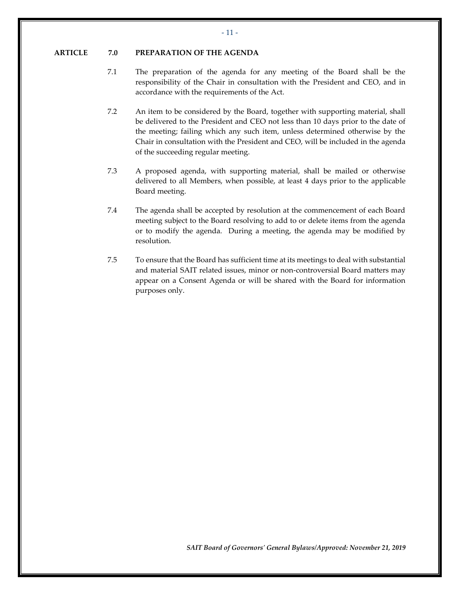#### <span id="page-12-0"></span>**ARTICLE 7.0 PREPARATION OF THE AGENDA**

- 7.1 The preparation of the agenda for any meeting of the Board shall be the responsibility of the Chair in consultation with the President and CEO, and in accordance with the requirements of the Act.
- 7.2 An item to be considered by the Board, together with supporting material, shall be delivered to the President and CEO not less than 10 days prior to the date of the meeting; failing which any such item, unless determined otherwise by the Chair in consultation with the President and CEO, will be included in the agenda of the succeeding regular meeting.
- 7.3 A proposed agenda, with supporting material, shall be mailed or otherwise delivered to all Members, when possible, at least 4 days prior to the applicable Board meeting.
- 7.4 The agenda shall be accepted by resolution at the commencement of each Board meeting subject to the Board resolving to add to or delete items from the agenda or to modify the agenda. During a meeting, the agenda may be modified by resolution.
- 7.5 To ensure that the Board has sufficient time at its meetings to deal with substantial and material SAIT related issues, minor or non-controversial Board matters may appear on a Consent Agenda or will be shared with the Board for information purposes only.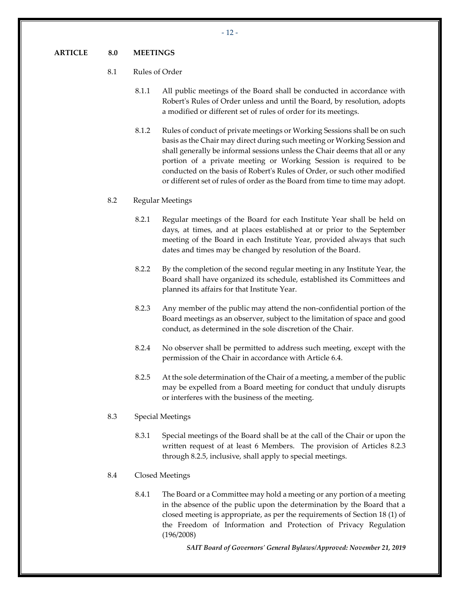#### <span id="page-13-0"></span>8.1 Rules of Order

- 8.1.1 All public meetings of the Board shall be conducted in accordance with Robert's Rules of Order unless and until the Board, by resolution, adopts a modified or different set of rules of order for its meetings.
- 8.1.2 Rules of conduct of private meetings or Working Sessions shall be on such basis as the Chair may direct during such meeting or Working Session and shall generally be informal sessions unless the Chair deems that all or any portion of a private meeting or Working Session is required to be conducted on the basis of Robert's Rules of Order, or such other modified or different set of rules of order as the Board from time to time may adopt.

#### <span id="page-13-3"></span>8.2 Regular Meetings

- 8.2.1 Regular meetings of the Board for each Institute Year shall be held on days, at times, and at places established at or prior to the September meeting of the Board in each Institute Year, provided always that such dates and times may be changed by resolution of the Board.
- 8.2.2 By the completion of the second regular meeting in any Institute Year, the Board shall have organized its schedule, established its Committees and planned its affairs for that Institute Year.
- <span id="page-13-1"></span>8.2.3 Any member of the public may attend the non-confidential portion of the Board meetings as an observer, subject to the limitation of space and good conduct, as determined in the sole discretion of the Chair.
- 8.2.4 No observer shall be permitted to address such meeting, except with the permission of the Chair in accordance with Article [6.4.](#page-11-1)
- 8.2.5 At the sole determination of the Chair of a meeting, a member of the public may be expelled from a Board meeting for conduct that unduly disrupts or interferes with the business of the meeting.
- <span id="page-13-4"></span><span id="page-13-2"></span>8.3 Special Meetings
	- 8.3.1 Special meetings of the Board shall be at the call of the Chair or upon the written request of at least 6 Members. The provision of Articles [8.2.3](#page-13-1) through [8.2.5,](#page-13-2) inclusive, shall apply to special meetings.
- <span id="page-13-5"></span>8.4 Closed Meetings
	- 8.4.1 The Board or a Committee may hold a meeting or any portion of a meeting in the absence of the public upon the determination by the Board that a closed meeting is appropriate, as per the requirements of Section 18 (1) of the Freedom of Information and Protection of Privacy Regulation (196/2008)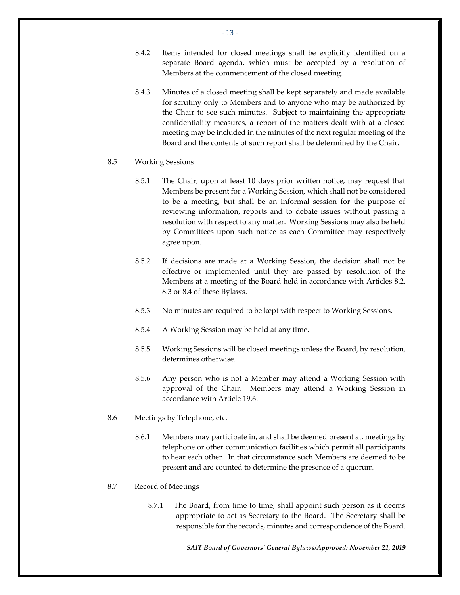- 8.4.2 Items intended for closed meetings shall be explicitly identified on a separate Board agenda, which must be accepted by a resolution of Members at the commencement of the closed meeting.
- 8.4.3 Minutes of a closed meeting shall be kept separately and made available for scrutiny only to Members and to anyone who may be authorized by the Chair to see such minutes. Subject to maintaining the appropriate confidentiality measures, a report of the matters dealt with at a closed meeting may be included in the minutes of the next regular meeting of the Board and the contents of such report shall be determined by the Chair.
- 8.5 Working Sessions
	- 8.5.1 The Chair, upon at least 10 days prior written notice, may request that Members be present for a Working Session, which shall not be considered to be a meeting, but shall be an informal session for the purpose of reviewing information, reports and to debate issues without passing a resolution with respect to any matter. Working Sessions may also be held by Committees upon such notice as each Committee may respectively agree upon.
	- 8.5.2 If decisions are made at a Working Session, the decision shall not be effective or implemented until they are passed by resolution of the Members at a meeting of the Board held in accordance with Articles [8.2,](#page-13-3) [8.3](#page-13-4) or [8.4](#page-13-5) of these Bylaws.
	- 8.5.3 No minutes are required to be kept with respect to Working Sessions.
	- 8.5.4 A Working Session may be held at any time.
	- 8.5.5 Working Sessions will be closed meetings unless the Board, by resolution, determines otherwise.
	- 8.5.6 Any person who is not a Member may attend a Working Session with approval of the Chair. Members may attend a Working Session in accordance with Article [19.6.](#page-31-1)
- <span id="page-14-0"></span>8.6 Meetings by Telephone, etc.
	- 8.6.1 Members may participate in, and shall be deemed present at, meetings by telephone or other communication facilities which permit all participants to hear each other. In that circumstance such Members are deemed to be present and are counted to determine the presence of a quorum.
- 8.7 Record of Meetings
	- 8.7.1 The Board, from time to time, shall appoint such person as it deems appropriate to act as Secretary to the Board. The Secretary shall be responsible for the records, minutes and correspondence of the Board.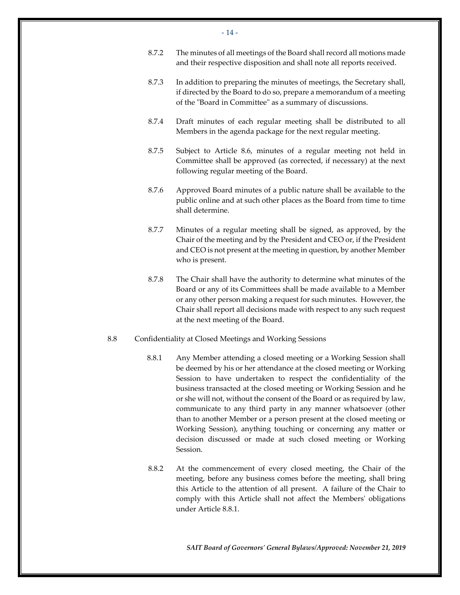- 14 -
- 8.7.2 The minutes of all meetings of the Board shall record all motions made and their respective disposition and shall note all reports received.
- 8.7.3 In addition to preparing the minutes of meetings, the Secretary shall, if directed by the Board to do so, prepare a memorandum of a meeting of the "Board in Committee" as a summary of discussions.
- 8.7.4 Draft minutes of each regular meeting shall be distributed to all Members in the agenda package for the next regular meeting.
- 8.7.5 Subject to Article [8.6,](#page-14-0) minutes of a regular meeting not held in Committee shall be approved (as corrected, if necessary) at the next following regular meeting of the Board.
- 8.7.6 Approved Board minutes of a public nature shall be available to the public online and at such other places as the Board from time to time shall determine.
- 8.7.7 Minutes of a regular meeting shall be signed, as approved, by the Chair of the meeting and by the President and CEO or, if the President and CEO is not present at the meeting in question, by another Member who is present.
- 8.7.8 The Chair shall have the authority to determine what minutes of the Board or any of its Committees shall be made available to a Member or any other person making a request for such minutes. However, the Chair shall report all decisions made with respect to any such request at the next meeting of the Board.
- <span id="page-15-0"></span>8.8 Confidentiality at Closed Meetings and Working Sessions
	- 8.8.1 Any Member attending a closed meeting or a Working Session shall be deemed by his or her attendance at the closed meeting or Working Session to have undertaken to respect the confidentiality of the business transacted at the closed meeting or Working Session and he or she will not, without the consent of the Board or as required by law, communicate to any third party in any manner whatsoever (other than to another Member or a person present at the closed meeting or Working Session), anything touching or concerning any matter or decision discussed or made at such closed meeting or Working Session.
	- 8.8.2 At the commencement of every closed meeting, the Chair of the meeting, before any business comes before the meeting, shall bring this Article to the attention of all present. A failure of the Chair to comply with this Article shall not affect the Members' obligations under Article [8.8.1.](#page-15-0)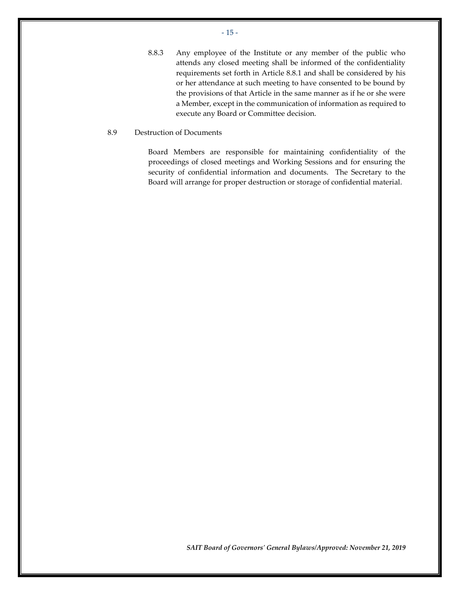- 15 -

8.8.3 Any employee of the Institute or any member of the public who attends any closed meeting shall be informed of the confidentiality requirements set forth in Article [8.8.1](#page-15-0) and shall be considered by his or her attendance at such meeting to have consented to be bound by the provisions of that Article in the same manner as if he or she were a Member, except in the communication of information as required to execute any Board or Committee decision.

### 8.9 Destruction of Documents

Board Members are responsible for maintaining confidentiality of the proceedings of closed meetings and Working Sessions and for ensuring the security of confidential information and documents. The Secretary to the Board will arrange for proper destruction or storage of confidential material.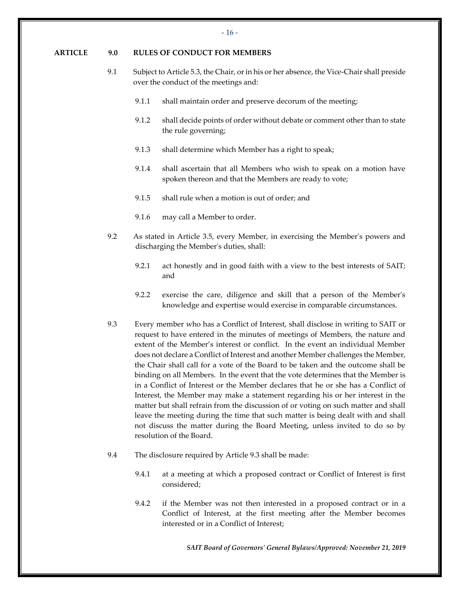#### <span id="page-17-0"></span>**ARTICLE 9.0 RULES OF CONDUCT FOR MEMBERS**

- 9.1 Subject to Articl[e 5.3,](#page-10-1) the Chair, or in his or her absence, the Vice-Chair shall preside over the conduct of the meetings and:
	- 9.1.1 shall maintain order and preserve decorum of the meeting;
	- 9.1.2 shall decide points of order without debate or comment other than to state the rule governing;
	- 9.1.3 shall determine which Member has a right to speak;
	- 9.1.4 shall ascertain that all Members who wish to speak on a motion have spoken thereon and that the Members are ready to vote;
	- 9.1.5 shall rule when a motion is out of order; and
	- 9.1.6 may call a Member to order.
- 9.2 As stated in Article [3.5,](#page-7-2) every Member, in exercising the Member's powers and discharging the Member's duties, shall:
	- 9.2.1 act honestly and in good faith with a view to the best interests of SAIT; and
	- 9.2.2 exercise the care, diligence and skill that a person of the Member's knowledge and expertise would exercise in comparable circumstances.
- <span id="page-17-1"></span>9.3 Every member who has a Conflict of Interest, shall disclose in writing to SAIT or request to have entered in the minutes of meetings of Members, the nature and extent of the Member's interest or conflict. In the event an individual Member does not declare a Conflict of Interest and another Member challenges the Member, the Chair shall call for a vote of the Board to be taken and the outcome shall be binding on all Members. In the event that the vote determines that the Member is in a Conflict of Interest or the Member declares that he or she has a Conflict of Interest, the Member may make a statement regarding his or her interest in the matter but shall refrain from the discussion of or voting on such matter and shall leave the meeting during the time that such matter is being dealt with and shall not discuss the matter during the Board Meeting, unless invited to do so by resolution of the Board.
- 9.4 The disclosure required by Article [9.3](#page-17-1) shall be made:
	- 9.4.1 at a meeting at which a proposed contract or Conflict of Interest is first considered;
	- 9.4.2 if the Member was not then interested in a proposed contract or in a Conflict of Interest, at the first meeting after the Member becomes interested or in a Conflict of Interest;

*SAIT Board of Governors' General Bylaws/Approved: November 21, 2019*

 $-16 -$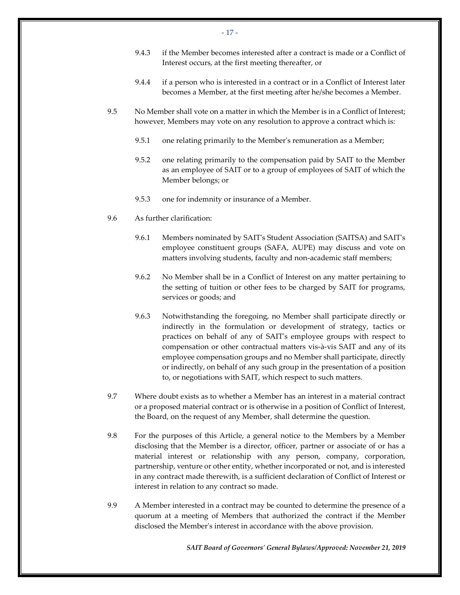- 9.4.3 if the Member becomes interested after a contract is made or a Conflict of Interest occurs, at the first meeting thereafter, or
- 9.4.4 if a person who is interested in a contract or in a Conflict of Interest later becomes a Member, at the first meeting after he/she becomes a Member.
- 9.5 No Member shall vote on a matter in which the Member is in a Conflict of Interest; however, Members may vote on any resolution to approve a contract which is:
	- 9.5.1 one relating primarily to the Member's remuneration as a Member;
	- 9.5.2 one relating primarily to the compensation paid by SAIT to the Member as an employee of SAIT or to a group of employees of SAIT of which the Member belongs; or
	- 9.5.3 one for indemnity or insurance of a Member.
- 9.6 As further clarification:
	- 9.6.1 Members nominated by SAIT's Student Association (SAITSA) and SAIT's employee constituent groups (SAFA, AUPE) may discuss and vote on matters involving students, faculty and non-academic staff members;
	- 9.6.2 No Member shall be in a Conflict of Interest on any matter pertaining to the setting of tuition or other fees to be charged by SAIT for programs, services or goods; and
	- 9.6.3 Notwithstanding the foregoing, no Member shall participate directly or indirectly in the formulation or development of strategy, tactics or practices on behalf of any of SAIT's employee groups with respect to compensation or other contractual matters vis-à-vis SAIT and any of its employee compensation groups and no Member shall participate, directly or indirectly, on behalf of any such group in the presentation of a position to, or negotiations with SAIT, which respect to such matters.
- 9.7 Where doubt exists as to whether a Member has an interest in a material contract or a proposed material contract or is otherwise in a position of Conflict of Interest, the Board, on the request of any Member, shall determine the question.
- 9.8 For the purposes of this Article, a general notice to the Members by a Member disclosing that the Member is a director, officer, partner or associate of or has a material interest or relationship with any person, company, corporation, partnership, venture or other entity, whether incorporated or not, and is interested in any contract made therewith, is a sufficient declaration of Conflict of Interest or interest in relation to any contract so made.
- 9.9 A Member interested in a contract may be counted to determine the presence of a quorum at a meeting of Members that authorized the contract if the Member disclosed the Member's interest in accordance with the above provision.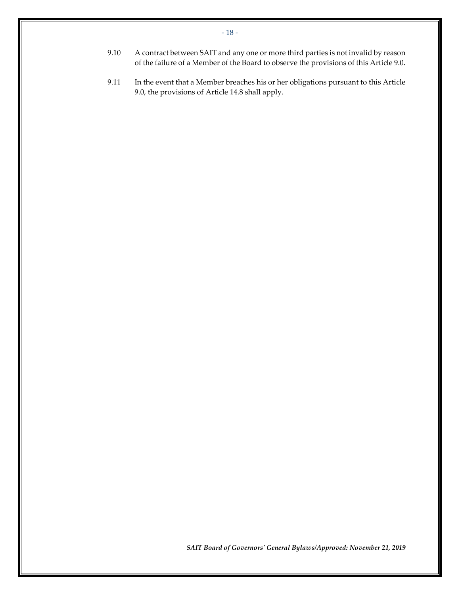- 9.10 A contract between SAIT and any one or more third parties is not invalid by reason of the failure of a Member of the Board to observe the provisions of this Article 9.0.
- 9.11 In the event that a Member breaches his or her obligations pursuant to this Article 9.0, the provisions of Article [14.8](#page-25-0) shall apply.

- 18 -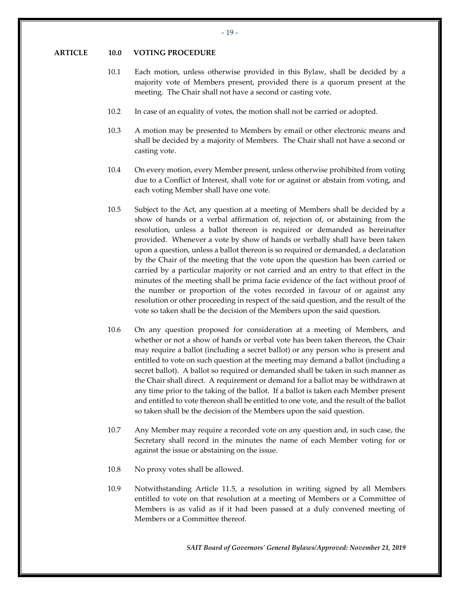#### <span id="page-20-0"></span>**ARTICLE 10.0 VOTING PROCEDURE**

- 10.1 Each motion, unless otherwise provided in this Bylaw, shall be decided by a majority vote of Members present, provided there is a quorum present at the meeting. The Chair shall not have a second or casting vote.
- 10.2 In case of an equality of votes, the motion shall not be carried or adopted.
- 10.3 A motion may be presented to Members by email or other electronic means and shall be decided by a majority of Members. The Chair shall not have a second or casting vote.
- 10.4 On every motion, every Member present, unless otherwise prohibited from voting due to a Conflict of Interest, shall vote for or against or abstain from voting, and each voting Member shall have one vote.
- 10.5 Subject to the Act, any question at a meeting of Members shall be decided by a show of hands or a verbal affirmation of, rejection of, or abstaining from the resolution, unless a ballot thereon is required or demanded as hereinafter provided. Whenever a vote by show of hands or verbally shall have been taken upon a question, unless a ballot thereon is so required or demanded, a declaration by the Chair of the meeting that the vote upon the question has been carried or carried by a particular majority or not carried and an entry to that effect in the minutes of the meeting shall be prima facie evidence of the fact without proof of the number or proportion of the votes recorded in favour of or against any resolution or other proceeding in respect of the said question, and the result of the vote so taken shall be the decision of the Members upon the said question.
- 10.6 On any question proposed for consideration at a meeting of Members, and whether or not a show of hands or verbal vote has been taken thereon, the Chair may require a ballot (including a secret ballot) or any person who is present and entitled to vote on such question at the meeting may demand a ballot (including a secret ballot). A ballot so required or demanded shall be taken in such manner as the Chair shall direct. A requirement or demand for a ballot may be withdrawn at any time prior to the taking of the ballot. If a ballot is taken each Member present and entitled to vote thereon shall be entitled to one vote, and the result of the ballot so taken shall be the decision of the Members upon the said question.
- 10.7 Any Member may require a recorded vote on any question and, in such case, the Secretary shall record in the minutes the name of each Member voting for or against the issue or abstaining on the issue.
- 10.8 No proxy votes shall be allowed.
- <span id="page-20-1"></span>10.9 Notwithstanding Article [11.5,](#page-21-1) a resolution in writing signed by all Members entitled to vote on that resolution at a meeting of Members or a Committee of Members is as valid as if it had been passed at a duly convened meeting of Members or a Committee thereof.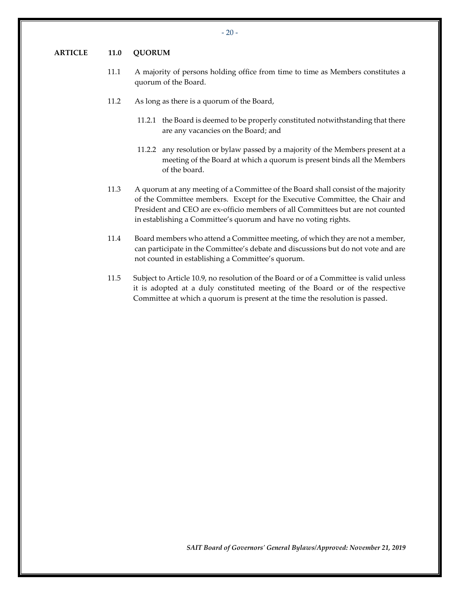#### <span id="page-21-0"></span>**ARTICLE 11.0 QUORUM**

- 11.1 A majority of persons holding office from time to time as Members constitutes a quorum of the Board.
- 11.2 As long as there is a quorum of the Board,
	- 11.2.1 the Board is deemed to be properly constituted notwithstanding that there are any vacancies on the Board; and
	- 11.2.2 any resolution or bylaw passed by a majority of the Members present at a meeting of the Board at which a quorum is present binds all the Members of the board.
- 11.3 A quorum at any meeting of a Committee of the Board shall consist of the majority of the Committee members. Except for the Executive Committee, the Chair and President and CEO are ex-officio members of all Committees but are not counted in establishing a Committee's quorum and have no voting rights.
- 11.4 Board members who attend a Committee meeting, of which they are not a member, can participate in the Committee's debate and discussions but do not vote and are not counted in establishing a Committee's quorum.
- <span id="page-21-1"></span>11.5 Subject to Article [10.9,](#page-20-1) no resolution of the Board or of a Committee is valid unless it is adopted at a duly constituted meeting of the Board or of the respective Committee at which a quorum is present at the time the resolution is passed.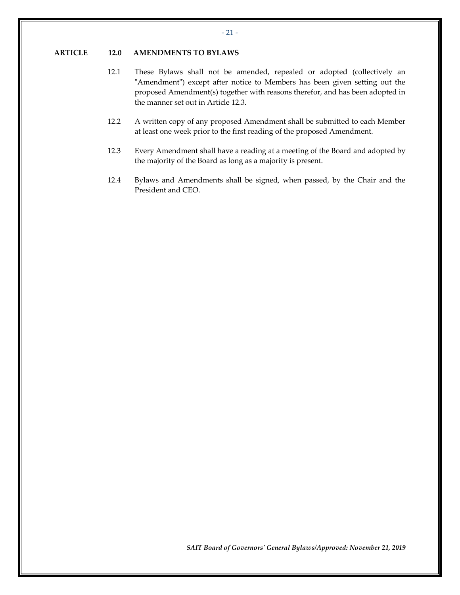#### <span id="page-22-0"></span>**ARTICLE 12.0 AMENDMENTS TO BYLAWS**

- 12.1 These Bylaws shall not be amended, repealed or adopted (collectively an "Amendment") except after notice to Members has been given setting out the proposed Amendment(s) together with reasons therefor, and has been adopted in the manner set out in Article [12.3.](#page-22-1)
- 12.2 A written copy of any proposed Amendment shall be submitted to each Member at least one week prior to the first reading of the proposed Amendment.
- <span id="page-22-1"></span>12.3 Every Amendment shall have a reading at a meeting of the Board and adopted by the majority of the Board as long as a majority is present.
- 12.4 Bylaws and Amendments shall be signed, when passed, by the Chair and the President and CEO.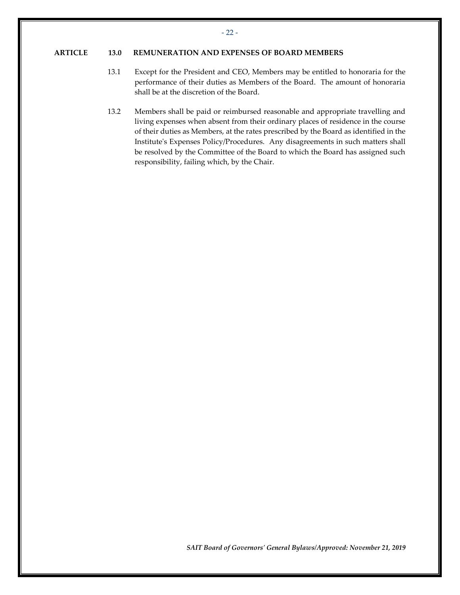#### <span id="page-23-0"></span>**ARTICLE 13.0 REMUNERATION AND EXPENSES OF BOARD MEMBERS**

- 13.1 Except for the President and CEO, Members may be entitled to honoraria for the performance of their duties as Members of the Board. The amount of honoraria shall be at the discretion of the Board.
- 13.2 Members shall be paid or reimbursed reasonable and appropriate travelling and living expenses when absent from their ordinary places of residence in the course of their duties as Members, at the rates prescribed by the Board as identified in the Institute's Expenses Policy/Procedures. Any disagreements in such matters shall be resolved by the Committee of the Board to which the Board has assigned such responsibility, failing which, by the Chair.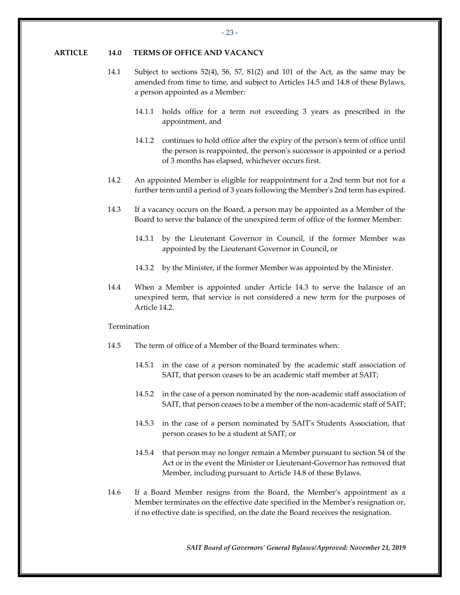#### <span id="page-24-0"></span>**ARTICLE 14.0 TERMS OF OFFICE AND VACANCY**

- 14.1 Subject to sections 52(4), 56, 57, 81(2) and 101 of the Act, as the same may be amended from time to time, and subject to Articles [14.5](#page-24-1) and [14.8](#page-25-0) of these Bylaws, a person appointed as a Member:
	- 14.1.1 holds office for a term not exceeding 3 years as prescribed in the appointment, and
	- 14.1.2 continues to hold office after the expiry of the person's term of office until the person is reappointed, the person's successor is appointed or a period of 3 months has elapsed, whichever occurs first.
- <span id="page-24-3"></span>14.2 An appointed Member is eligible for reappointment for a 2nd term but not for a further term until a period of 3 years following the Member's 2nd term has expired.
- <span id="page-24-2"></span>14.3 If a vacancy occurs on the Board, a person may be appointed as a Member of the Board to serve the balance of the unexpired term of office of the former Member:
	- 14.3.1 by the Lieutenant Governor in Council, if the former Member was appointed by the Lieutenant Governor in Council, or
	- 14.3.2 by the Minister, if the former Member was appointed by the Minister.
- 14.4 When a Member is appointed under Article [14.3](#page-24-2) to serve the balance of an unexpired term, that service is not considered a new term for the purposes of Article [14.2.](#page-24-3)

#### Termination

- <span id="page-24-1"></span>14.5 The term of office of a Member of the Board terminates when:
	- 14.5.1 in the case of a person nominated by the academic staff association of SAIT, that person ceases to be an academic staff member at SAIT;
	- 14.5.2 in the case of a person nominated by the non-academic staff association of SAIT, that person ceases to be a member of the non-academic staff of SAIT;
	- 14.5.3 in the case of a person nominated by SAIT's Students Association, that person ceases to be a student at SAIT; or
	- 14.5.4 that person may no longer remain a Member pursuant to section 54 of the Act or in the event the Minister or Lieutenant-Governor has removed that Member, including pursuant to Article [14.8](#page-25-0) of these Bylaws.
- 14.6 If a Board Member resigns from the Board, the Member's appointment as a Member terminates on the effective date specified in the Member's resignation or, if no effective date is specified, on the date the Board receives the resignation.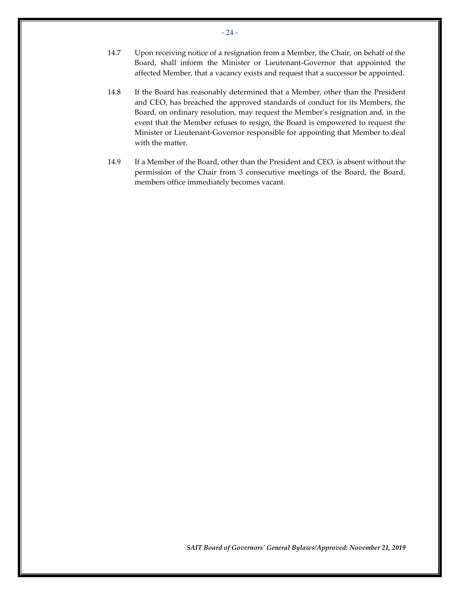- 14.7 Upon receiving notice of a resignation from a Member, the Chair, on behalf of the Board, shall inform the Minister or Lieutenant-Governor that appointed the affected Member, that a vacancy exists and request that a successor be appointed.
- <span id="page-25-0"></span>14.8 If the Board has reasonably determined that a Member, other than the President and CEO, has breached the approved standards of conduct for its Members, the Board, on ordinary resolution, may request the Member's resignation and, in the event that the Member refuses to resign, the Board is empowered to request the Minister or Lieutenant-Governor responsible for appointing that Member to deal with the matter.
- 14.9 If a Member of the Board, other than the President and CEO, is absent without the permission of the Chair from 3 consecutive meetings of the Board, the Board, members office immediately becomes vacant.

- 24 -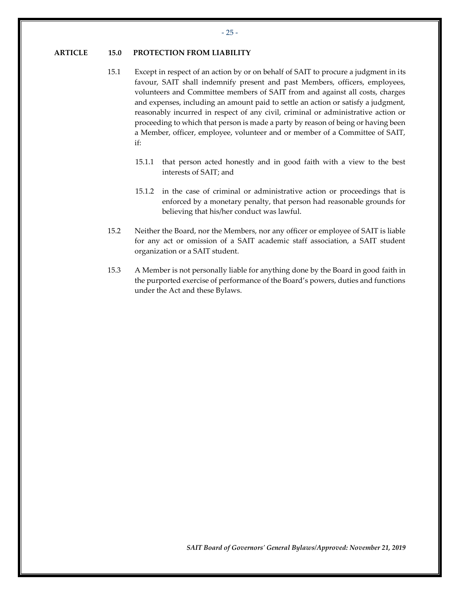#### <span id="page-26-0"></span>**ARTICLE 15.0 PROTECTION FROM LIABILITY**

- 15.1 Except in respect of an action by or on behalf of SAIT to procure a judgment in its favour, SAIT shall indemnify present and past Members, officers, employees, volunteers and Committee members of SAIT from and against all costs, charges and expenses, including an amount paid to settle an action or satisfy a judgment, reasonably incurred in respect of any civil, criminal or administrative action or proceeding to which that person is made a party by reason of being or having been a Member, officer, employee, volunteer and or member of a Committee of SAIT, if:
	- 15.1.1 that person acted honestly and in good faith with a view to the best interests of SAIT; and
	- 15.1.2 in the case of criminal or administrative action or proceedings that is enforced by a monetary penalty, that person had reasonable grounds for believing that his/her conduct was lawful.
- 15.2 Neither the Board, nor the Members, nor any officer or employee of SAIT is liable for any act or omission of a SAIT academic staff association, a SAIT student organization or a SAIT student.
- 15.3 A Member is not personally liable for anything done by the Board in good faith in the purported exercise of performance of the Board's powers, duties and functions under the Act and these Bylaws.

*SAIT Board of Governors' General Bylaws/Approved: November 21, 2019*

- 25 -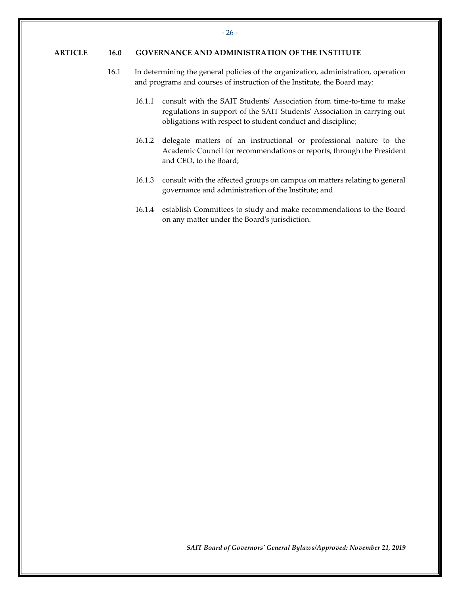#### <span id="page-27-0"></span>**ARTICLE 16.0 GOVERNANCE AND ADMINISTRATION OF THE INSTITUTE**

- 16.1 In determining the general policies of the organization, administration, operation and programs and courses of instruction of the Institute, the Board may:
	- 16.1.1 consult with the SAIT Students' Association from time-to-time to make regulations in support of the SAIT Students' Association in carrying out obligations with respect to student conduct and discipline;
	- 16.1.2 delegate matters of an instructional or professional nature to the Academic Council for recommendations or reports, through the President and CEO, to the Board;
	- 16.1.3 consult with the affected groups on campus on matters relating to general governance and administration of the Institute; and
	- 16.1.4 establish Committees to study and make recommendations to the Board on any matter under the Board's jurisdiction.

*SAIT Board of Governors' General Bylaws/Approved: November 21, 2019*

- 26 -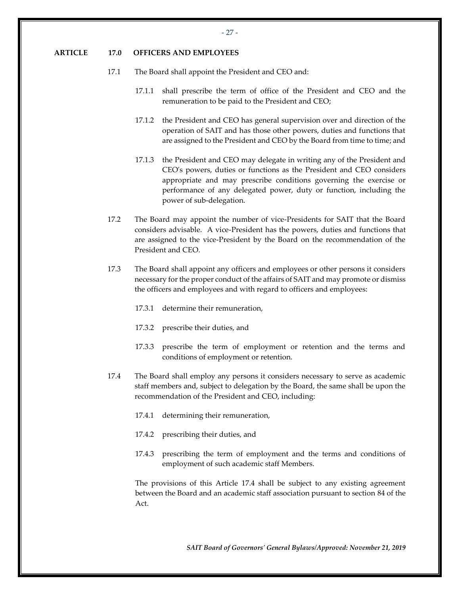### <span id="page-28-0"></span>**ARTICLE 17.0 OFFICERS AND EMPLOYEES**

- 17.1 The Board shall appoint the President and CEO and:
	- 17.1.1 shall prescribe the term of office of the President and CEO and the remuneration to be paid to the President and CEO;
	- 17.1.2 the President and CEO has general supervision over and direction of the operation of SAIT and has those other powers, duties and functions that are assigned to the President and CEO by the Board from time to time; and
	- 17.1.3 the President and CEO may delegate in writing any of the President and CEO's powers, duties or functions as the President and CEO considers appropriate and may prescribe conditions governing the exercise or performance of any delegated power, duty or function, including the power of sub-delegation.
- 17.2 The Board may appoint the number of vice-Presidents for SAIT that the Board considers advisable. A vice-President has the powers, duties and functions that are assigned to the vice-President by the Board on the recommendation of the President and CEO.
- 17.3 The Board shall appoint any officers and employees or other persons it considers necessary for the proper conduct of the affairs of SAIT and may promote or dismiss the officers and employees and with regard to officers and employees:
	- 17.3.1 determine their remuneration,
	- 17.3.2 prescribe their duties, and
	- 17.3.3 prescribe the term of employment or retention and the terms and conditions of employment or retention.
- <span id="page-28-1"></span>17.4 The Board shall employ any persons it considers necessary to serve as academic staff members and, subject to delegation by the Board, the same shall be upon the recommendation of the President and CEO, including:
	- 17.4.1 determining their remuneration,
	- 17.4.2 prescribing their duties, and
	- 17.4.3 prescribing the term of employment and the terms and conditions of employment of such academic staff Members.

The provisions of this Article [17.4](#page-28-1) shall be subject to any existing agreement between the Board and an academic staff association pursuant to section 84 of the Act.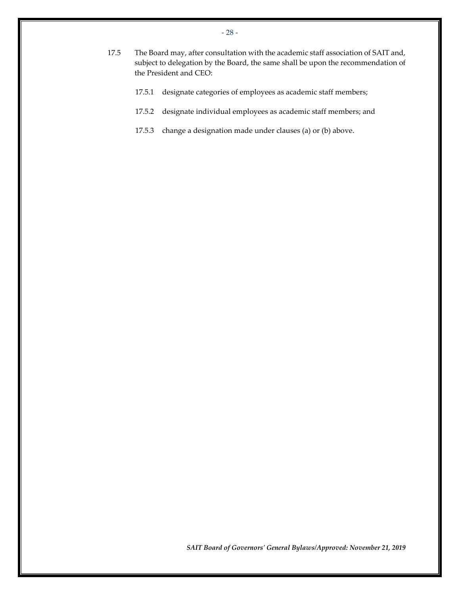- 17.5 The Board may, after consultation with the academic staff association of SAIT and, subject to delegation by the Board, the same shall be upon the recommendation of the President and CEO:
	- 17.5.1 designate categories of employees as academic staff members;
	- 17.5.2 designate individual employees as academic staff members; and
	- 17.5.3 change a designation made under clauses (a) or (b) above.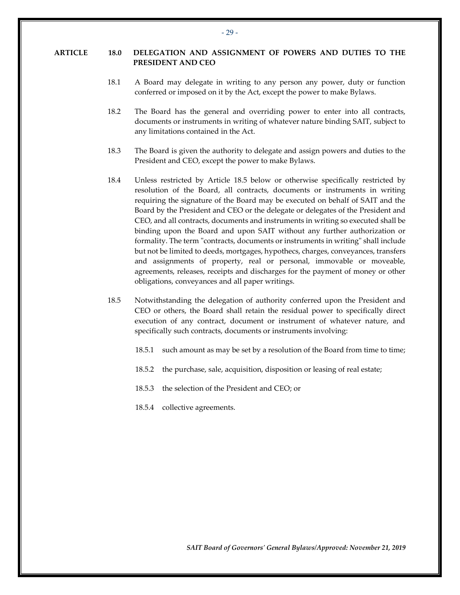### <span id="page-30-0"></span>**ARTICLE 18.0 DELEGATION AND ASSIGNMENT OF POWERS AND DUTIES TO THE PRESIDENT AND CEO**

- 18.1 A Board may delegate in writing to any person any power, duty or function conferred or imposed on it by the Act, except the power to make Bylaws.
- 18.2 The Board has the general and overriding power to enter into all contracts, documents or instruments in writing of whatever nature binding SAIT, subject to any limitations contained in the Act.
- 18.3 The Board is given the authority to delegate and assign powers and duties to the President and CEO, except the power to make Bylaws.
- 18.4 Unless restricted by Article [18.5](#page-30-1) below or otherwise specifically restricted by resolution of the Board, all contracts, documents or instruments in writing requiring the signature of the Board may be executed on behalf of SAIT and the Board by the President and CEO or the delegate or delegates of the President and CEO, and all contracts, documents and instruments in writing so executed shall be binding upon the Board and upon SAIT without any further authorization or formality. The term "contracts, documents or instruments in writing" shall include but not be limited to deeds, mortgages, hypothecs, charges, conveyances, transfers and assignments of property, real or personal, immovable or moveable, agreements, releases, receipts and discharges for the payment of money or other obligations, conveyances and all paper writings.
- <span id="page-30-1"></span>18.5 Notwithstanding the delegation of authority conferred upon the President and CEO or others, the Board shall retain the residual power to specifically direct execution of any contract, document or instrument of whatever nature, and specifically such contracts, documents or instruments involving:
	- 18.5.1 such amount as may be set by a resolution of the Board from time to time;
	- 18.5.2 the purchase, sale, acquisition, disposition or leasing of real estate;
	- 18.5.3 the selection of the President and CEO; or
	- 18.5.4 collective agreements.

*SAIT Board of Governors' General Bylaws/Approved: November 21, 2019*

- 29 -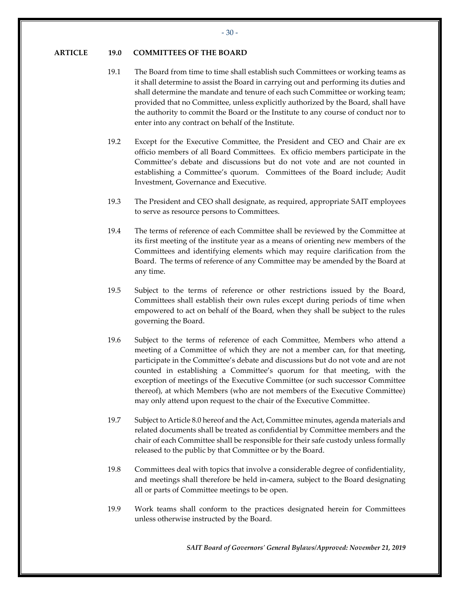#### <span id="page-31-0"></span>**ARTICLE 19.0 COMMITTEES OF THE BOARD**

- 19.1 The Board from time to time shall establish such Committees or working teams as it shall determine to assist the Board in carrying out and performing its duties and shall determine the mandate and tenure of each such Committee or working team; provided that no Committee, unless explicitly authorized by the Board, shall have the authority to commit the Board or the Institute to any course of conduct nor to enter into any contract on behalf of the Institute.
- 19.2 Except for the Executive Committee, the President and CEO and Chair are ex officio members of all Board Committees. Ex officio members participate in the Committee's debate and discussions but do not vote and are not counted in establishing a Committee's quorum. Committees of the Board include; Audit Investment, Governance and Executive.
- 19.3 The President and CEO shall designate, as required, appropriate SAIT employees to serve as resource persons to Committees.
- 19.4 The terms of reference of each Committee shall be reviewed by the Committee at its first meeting of the institute year as a means of orienting new members of the Committees and identifying elements which may require clarification from the Board. The terms of reference of any Committee may be amended by the Board at any time.
- 19.5 Subject to the terms of reference or other restrictions issued by the Board, Committees shall establish their own rules except during periods of time when empowered to act on behalf of the Board, when they shall be subject to the rules governing the Board.
- <span id="page-31-1"></span>19.6 Subject to the terms of reference of each Committee, Members who attend a meeting of a Committee of which they are not a member can, for that meeting, participate in the Committee's debate and discussions but do not vote and are not counted in establishing a Committee's quorum for that meeting, with the exception of meetings of the Executive Committee (or such successor Committee thereof), at which Members (who are not members of the Executive Committee) may only attend upon request to the chair of the Executive Committee.
- 19.7 Subject to Article 8.0 hereof and the Act, Committee minutes, agenda materials and related documents shall be treated as confidential by Committee members and the chair of each Committee shall be responsible for their safe custody unless formally released to the public by that Committee or by the Board.
- 19.8 Committees deal with topics that involve a considerable degree of confidentiality, and meetings shall therefore be held in-camera, subject to the Board designating all or parts of Committee meetings to be open.
- 19.9 Work teams shall conform to the practices designated herein for Committees unless otherwise instructed by the Board.

*SAIT Board of Governors' General Bylaws/Approved: November 21, 2019*

- 30 -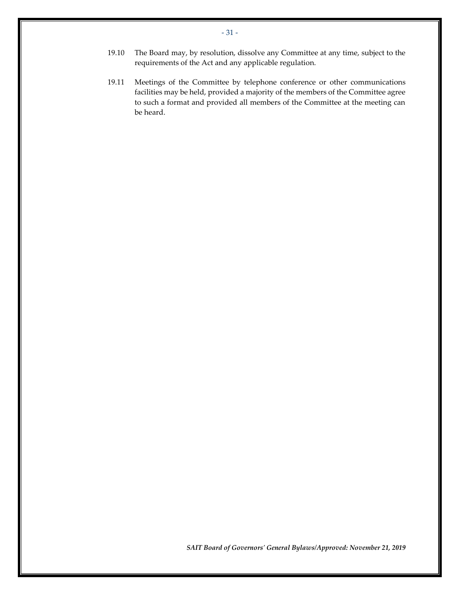- 19.10 The Board may, by resolution, dissolve any Committee at any time, subject to the requirements of the Act and any applicable regulation.
- 19.11 Meetings of the Committee by telephone conference or other communications facilities may be held, provided a majority of the members of the Committee agree to such a format and provided all members of the Committee at the meeting can be heard.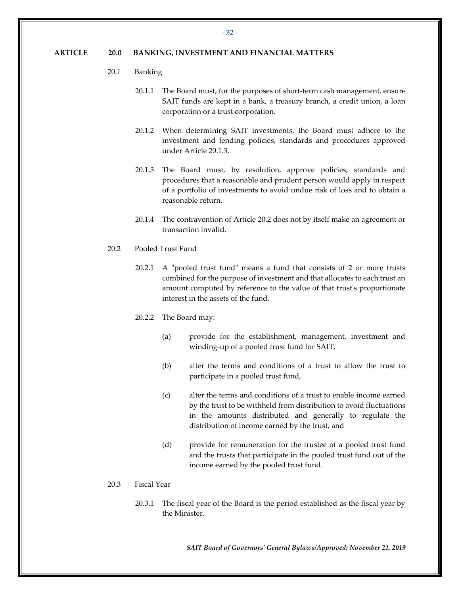#### <span id="page-33-0"></span>**ARTICLE 20.0 BANKING, INVESTMENT AND FINANCIAL MATTERS**

- 20.1 Banking
	- 20.1.1 The Board must, for the purposes of short-term cash management, ensure SAIT funds are kept in a bank, a treasury branch, a credit union, a loan corporation or a trust corporation.
	- 20.1.2 When determining SAIT investments, the Board must adhere to the investment and lending policies, standards and procedures approved under Articl[e 20.1.3.](#page-33-1)
	- 20.1.3 The Board must, by resolution, approve policies, standards and procedures that a reasonable and prudent person would apply in respect of a portfolio of investments to avoid undue risk of loss and to obtain a reasonable return.
	- 20.1.4 The contravention of Article [20.2](#page-33-2) does not by itself make an agreement or transaction invalid.
- <span id="page-33-2"></span><span id="page-33-1"></span>20.2 Pooled Trust Fund
	- 20.2.1 A "pooled trust fund" means a fund that consists of 2 or more trusts combined for the purpose of investment and that allocates to each trust an amount computed by reference to the value of that trust's proportionate interest in the assets of the fund.
	- 20.2.2 The Board may:
		- (a) provide for the establishment, management, investment and winding-up of a pooled trust fund for SAIT,
		- (b) alter the terms and conditions of a trust to allow the trust to participate in a pooled trust fund,
		- (c) alter the terms and conditions of a trust to enable income earned by the trust to be withheld from distribution to avoid fluctuations in the amounts distributed and generally to regulate the distribution of income earned by the trust, and
		- (d) provide for remuneration for the trustee of a pooled trust fund and the trusts that participate in the pooled trust fund out of the income earned by the pooled trust fund.

#### 20.3 Fiscal Year

20.3.1 The fiscal year of the Board is the period established as the fiscal year by the Minister.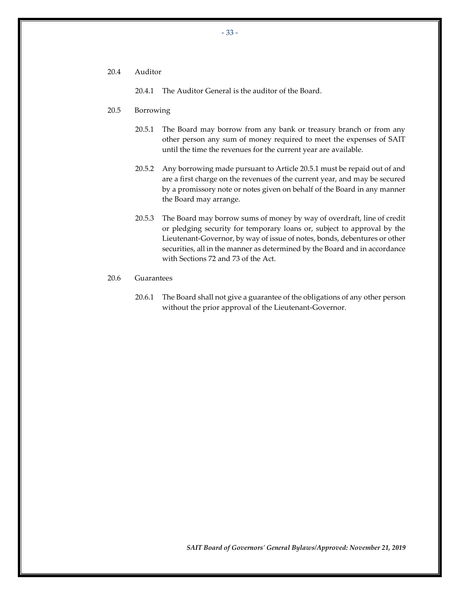20.4 Auditor

20.4.1 The Auditor General is the auditor of the Board.

- <span id="page-34-0"></span>20.5 Borrowing
	- 20.5.1 The Board may borrow from any bank or treasury branch or from any other person any sum of money required to meet the expenses of SAIT until the time the revenues for the current year are available.
	- 20.5.2 Any borrowing made pursuant to Articl[e 20.5.1](#page-34-0) must be repaid out of and are a first charge on the revenues of the current year, and may be secured by a promissory note or notes given on behalf of the Board in any manner the Board may arrange.
	- 20.5.3 The Board may borrow sums of money by way of overdraft, line of credit or pledging security for temporary loans or, subject to approval by the Lieutenant-Governor, by way of issue of notes, bonds, debentures or other securities, all in the manner as determined by the Board and in accordance with Sections 72 and 73 of the Act.
- 20.6 Guarantees
	- 20.6.1 The Board shall not give a guarantee of the obligations of any other person without the prior approval of the Lieutenant-Governor.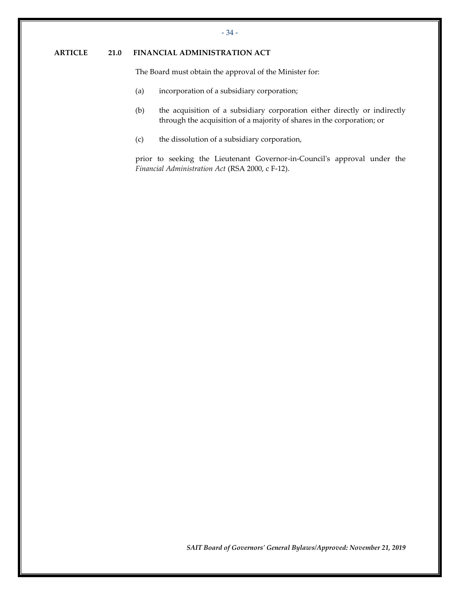### <span id="page-35-0"></span>**ARTICLE 21.0 FINANCIAL ADMINISTRATION ACT**

The Board must obtain the approval of the Minister for:

- (a) incorporation of a subsidiary corporation;
- (b) the acquisition of a subsidiary corporation either directly or indirectly through the acquisition of a majority of shares in the corporation; or
- (c) the dissolution of a subsidiary corporation,

prior to seeking the Lieutenant Governor-in-Council's approval under the *Financial Administration Act* (RSA 2000, c F-12).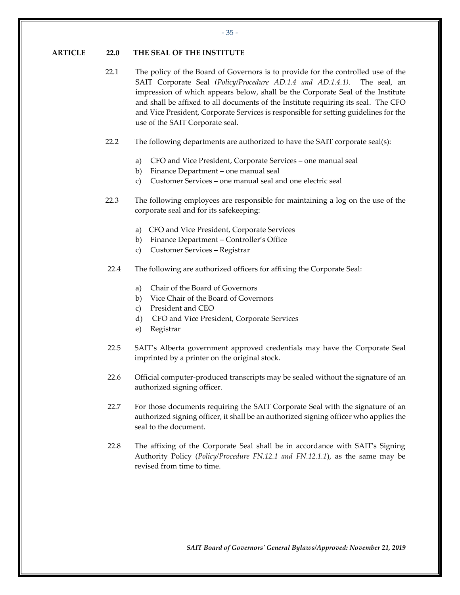#### <span id="page-36-0"></span>**ARTICLE 22.0 THE SEAL OF THE INSTITUTE**

- 22.1 The policy of the Board of Governors is to provide for the controlled use of the SAIT Corporate Seal *(Policy/Procedure AD.1.4 and AD.1.4.1)*. The seal, an impression of which appears below, shall be the Corporate Seal of the Institute and shall be affixed to all documents of the Institute requiring its seal. The CFO and Vice President, Corporate Services is responsible for setting guidelines for the use of the SAIT Corporate seal.
- 22.2 The following departments are authorized to have the SAIT corporate seal(s):
	- a) CFO and Vice President, Corporate Services one manual seal
	- b) Finance Department one manual seal
	- c) Customer Services one manual seal and one electric seal
- 22.3 The following employees are responsible for maintaining a log on the use of the corporate seal and for its safekeeping:
	- a) CFO and Vice President, Corporate Services
	- b) Finance Department Controller's Office
	- c) Customer Services Registrar
- 22.4 The following are authorized officers for affixing the Corporate Seal:
	- a) Chair of the Board of Governors
	- b) Vice Chair of the Board of Governors
	- c) President and CEO
	- d) CFO and Vice President, Corporate Services
	- e) Registrar
- 22.5 SAIT's Alberta government approved credentials may have the Corporate Seal imprinted by a printer on the original stock.
- 22.6 Official computer-produced transcripts may be sealed without the signature of an authorized signing officer.
- 22.7 For those documents requiring the SAIT Corporate Seal with the signature of an authorized signing officer, it shall be an authorized signing officer who applies the seal to the document.
- 22.8 The affixing of the Corporate Seal shall be in accordance with SAIT's Signing Authority Policy (*Policy/Procedure FN.12.1 and FN.12.1.1*), as the same may be revised from time to time.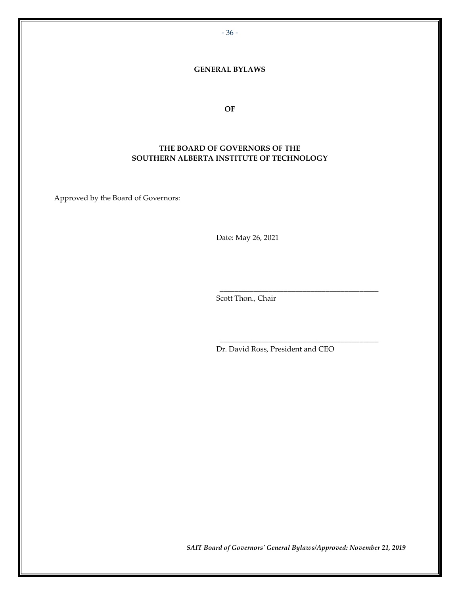- 36 -

#### **GENERAL BYLAWS**

**OF**

### **THE BOARD OF GOVERNORS OF THE SOUTHERN ALBERTA INSTITUTE OF TECHNOLOGY**

Approved by the Board of Governors:

Date: May 26, 2021

Scott Thon., Chair

Dr. David Ross, President and CEO

\_\_\_\_\_\_\_\_\_\_\_\_\_\_\_\_\_\_\_\_\_\_\_\_\_\_\_\_\_\_\_\_\_\_\_\_\_\_\_\_\_\_

\_\_\_\_\_\_\_\_\_\_\_\_\_\_\_\_\_\_\_\_\_\_\_\_\_\_\_\_\_\_\_\_\_\_\_\_\_\_\_\_\_\_